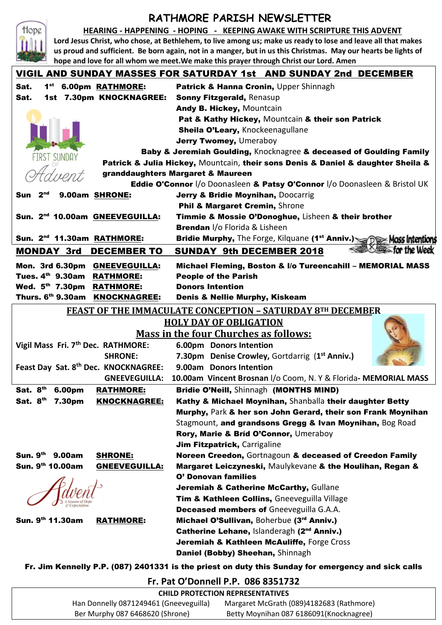# **RATHMORE PARISH NEWSLETTER**

#### **HEARING - HAPPENING - HOPING - KEEPING AWAKE WITH SCRIPTURE THIS ADVENT**

**Lord Jesus Christ, who chose, at Bethlehem, to live among us; make us ready to lose and leave all that makes us proud and sufficient. Be born again, not in a manger, but in us this Christmas. May our hearts be lights of hope and love for all whom we meet.We make this prayer through Christ our Lord. Amen**

Hope

| VIGIL AND SUNDAY MASSES FOR SATURDAY 1st   AND SUNDAY 2nd  DECEMBER |                                                                                             |
|---------------------------------------------------------------------|---------------------------------------------------------------------------------------------|
| 1 <sup>st</sup> 6.00pm RATHMORE:<br>Sat.                            | Patrick & Hanna Cronin, Upper Shinnagh                                                      |
| 1st 7.30pm KNOCKNAGREE:<br>Sat.                                     | Sonny Fitzgerald, Renasup                                                                   |
|                                                                     | Andy B. Hickey, Mountcain                                                                   |
|                                                                     | Pat & Kathy Hickey, Mountcain & their son Patrick                                           |
|                                                                     | Sheila O'Leary, Knockeenagullane                                                            |
|                                                                     | Jerry Twomey, Umeraboy                                                                      |
|                                                                     | Baby & Jeremiah Goulding, Knocknagree & deceased of Goulding Family                         |
| <b>FIRST SUNDAY</b>                                                 | Patrick & Julia Hickey, Mountcain, their sons Denis & Daniel & daughter Sheila &            |
|                                                                     | granddaughters Margaret & Maureen                                                           |
|                                                                     | Eddie O'Connor I/o Doonasleen & Patsy O'Connor I/o Doonasleen & Bristol UK                  |
| 2 <sub>nd</sub><br>9.00am SHRONE:<br>Sun                            | Jerry & Bridie Moynihan, Doocarrig                                                          |
|                                                                     | Phil & Margaret Cremin, Shrone                                                              |
| Sun. 2 <sup>nd</sup> 10.00am GNEEVEGUILLA:                          | Timmie & Mossie O'Donoghue, Lisheen & their brother                                         |
|                                                                     | <b>Brendan</b> I/o Florida & Lisheen                                                        |
| Sun. 2 <sup>nd</sup> 11.30am RATHMORE:                              | Bridie Murphy, The Forge, Kilquane (1 <sup>st</sup> Anniv.) <b>See Disc Mass Intentions</b> |
| <b>MONDAY 3rd</b><br><b>DECEMBER TO</b>                             | for the Week<br><b>SUNDAY 9th DECEMBER 2018</b>                                             |
|                                                                     |                                                                                             |
| Mon. 3rd 6.30pm GNEEVEGUILLA:<br>Tues. 4th 9.30am RATHMORE:         | Michael Fleming, Boston & I/o Tureencahill - MEMORIAL MASS<br><b>People of the Parish</b>   |
| Wed. 5th 7.30pm RATHMORE:                                           | <b>Donors Intention</b>                                                                     |
| Thurs. 6th 9.30am KNOCKNAGREE:                                      | <b>Denis &amp; Nellie Murphy, Kiskeam</b>                                                   |
|                                                                     |                                                                                             |
| <b>FEAST OF THE IMMACULATE CONCEPTION - SATURDAY 8TH DECEMBER</b>   |                                                                                             |
| <b>HOLY DAY OF OBLIGATION</b>                                       |                                                                                             |
|                                                                     | <b>Mass in the four Churches as follows:</b>                                                |
| Vigil Mass Fri. 7th Dec. RATHMORE:                                  | 6.00pm Donors Intention                                                                     |
| <b>SHRONE:</b>                                                      | 7.30pm Denise Crowley, Gortdarrig (1 <sup>st</sup> Anniv.)                                  |
| Feast Day Sat. 8th Dec. KNOCKNAGREE:                                | 9.00am Donors Intention                                                                     |
| <b>GNEEVEGUILLA:</b>                                                | 10.00am Vincent Brosnan I/o Coom, N. Y & Florida- MEMORIAL MASS                             |
| Sat. 8th<br>6.00pm<br><b>RATHMORE:</b>                              | Bridie O'Neill, Shinnagh (MONTHS MIND)                                                      |
| Sat. 8 <sup>th</sup> 7.30pm<br><b>KNOCKNAGREE:</b>                  | Kathy & Michael Moynihan, Shanballa their daughter Betty                                    |
|                                                                     | Murphy, Park & her son John Gerard, their son Frank Moynihan                                |
|                                                                     | Stagmount, and grandsons Gregg & Ivan Moynihan, Bog Road                                    |
|                                                                     | Rory, Marie & Bríd O'Connor, Umeraboy                                                       |
|                                                                     | Jim Fitzpatrick, Carrigaline                                                                |
|                                                                     |                                                                                             |
| Sun. 9 <sup>th</sup> 9.00am<br><b>SHRONE:</b>                       | Noreen Creedon, Gortnagoun & deceased of Creedon Family                                     |
| Sun. 9th 10.00am<br><b>GNEEVEGUILLA:</b>                            | Margaret Leiczyneski, Maulykevane & the Houlihan, Regan &                                   |
|                                                                     | <b>O' Donovan families</b>                                                                  |
|                                                                     | Jeremiah & Catherine McCarthy, Gullane                                                      |
|                                                                     | Tim & Kathleen Collins, Gneeveguilla Village                                                |
|                                                                     | <b>Deceased members of Gneeveguilla G.A.A.</b>                                              |
| Sun. 9th 11.30am<br><b>RATHMORE:</b>                                | Michael O'Sullivan, Boherbue (3rd Anniv.)                                                   |
|                                                                     | Catherine Lehane, Islanderagh (2 <sup>nd</sup> Anniv.)                                      |
|                                                                     | Jeremiah & Kathleen McAuliffe, Forge Cross<br>Daniel (Bobby) Sheehan, Shinnagh              |

Fr. Jim Kennelly P.P. (087) 2401331 is the priest on duty this Sunday for emergency and sick calls

### **Fr. Pat O'Donnell P.P. 086 8351732**

#### **CHILD PROTECTION REPRESENTATIVES** Han Donnelly 0871249461 (Gneeveguilla) Margaret McGrath (089)4182683 (Rathmore) Ber Murphy 087 6468620 (Shrone) Betty Moynihan 087 6186091(Knocknagree)